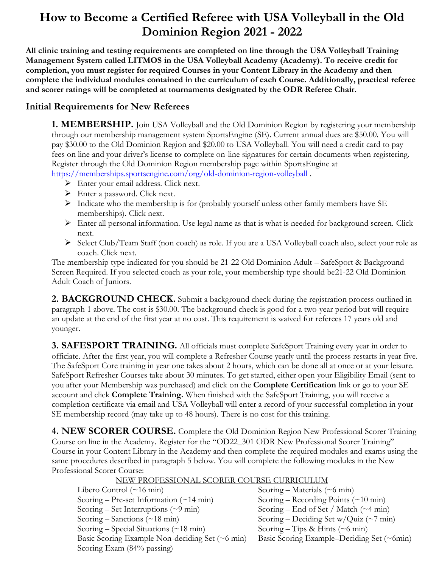# **How to Become a Certified Referee with USA Volleyball in the Old Dominion Region 2021 - 2022**

**All clinic training and testing requirements are completed on line through the USA Volleyball Training Management System called LITMOS in the USA Volleyball Academy (Academy). To receive credit for completion, you must register for required Courses in your Content Library in the Academy and then complete the individual modules contained in the curriculum of each Course. Additionally, practical referee and scorer ratings will be completed at tournaments designated by the ODR Referee Chair.**

## **Initial Requirements for New Referees**

**1. MEMBERSHIP.** Join USA Volleyball and the Old Dominion Region by registering your membership through our membership management system SportsEngine (SE). Current annual dues are \$50.00. You will pay \$30.00 to the Old Dominion Region and \$20.00 to USA Volleyball. You will need a credit card to pay fees on line and your driver's license to complete on-line signatures for certain documents when registering. Register through the Old Dominion Region membership page within SportsEngine at <https://memberships.sportsengine.com/org/old-dominion-region-volleyball> .

- ➢ Enter your email address. Click next.
- ➢ Enter a password. Click next.
- $\triangleright$  Indicate who the membership is for (probably yourself unless other family members have SE memberships). Click next.
- $\triangleright$  Enter all personal information. Use legal name as that is what is needed for background screen. Click next.
- ➢ Select Club/Team Staff (non coach) as role. If you are a USA Volleyball coach also, select your role as coach. Click next.

The membership type indicated for you should be 21-22 Old Dominion Adult – SafeSport & Background Screen Required. If you selected coach as your role, your membership type should be21-22 Old Dominion Adult Coach of Juniors.

**2. BACKGROUND CHECK.** Submit a background check during the registration process outlined in paragraph 1 above. The cost is \$30.00. The background check is good for a two-year period but will require an update at the end of the first year at no cost. This requirement is waived for referees 17 years old and younger.

**3. SAFESPORT TRAINING.** All officials must complete SafeSport Training every year in order to officiate. After the first year, you will complete a Refresher Course yearly until the process restarts in year five. The SafeSport Core training in year one takes about 2 hours, which can be done all at once or at your leisure. SafeSport Refresher Courses take about 30 minutes. To get started, either open your Eligibility Email (sent to you after your Membership was purchased) and click on the **Complete Certification** link or go to your SE account and click **Complete Training.** When finished with the SafeSport Training, you will receive a completion certificate via email and USA Volleyball will enter a record of your successful completion in your SE membership record (may take up to 48 hours). There is no cost for this training.

**4. NEW SCORER COURSE.** Complete the Old Dominion Region New Professional Scorer Training Course on line in the Academy. Register for the "OD22\_301 ODR New Professional Scorer Training" Course in your Content Library in the Academy and then complete the required modules and exams using the same procedures described in paragraph 5 below. You will complete the following modules in the New Professional Scorer Course: NEW PROFESSIONAL SCORER COURSE CURRICULUM

| <u>TIEW FROPESSIOIVAL SCORER COURSE CORRIGUEUM</u>  |  |
|-----------------------------------------------------|--|
| Scoring – Materials ( $\sim$ 6 min)                 |  |
| Scoring – Recording Points $(\sim 10 \text{ min})$  |  |
| Scoring – End of Set / Match $(\sim 4 \text{ min})$ |  |
| Scoring – Deciding Set w/Quiz (~7 min)              |  |
| Scoring – Tips & Hints ( $\sim$ 6 min)              |  |
| Basic Scoring Example–Deciding Set (~6min)          |  |
|                                                     |  |
|                                                     |  |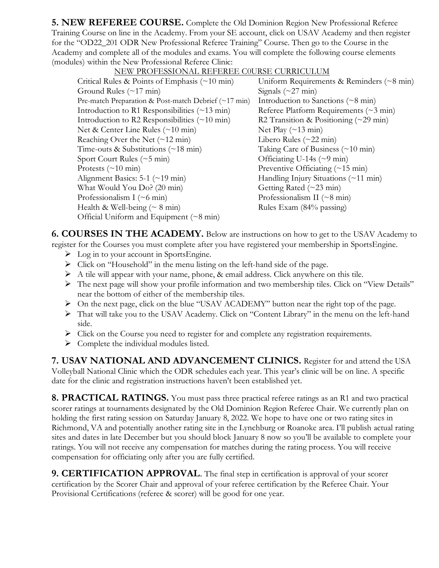**5. NEW REFEREE COURSE.** Complete the Old Dominion Region New Professional Referee Training Course on line in the Academy. From your SE account, click on USAV Academy and then register for the "OD22\_201 ODR New Professional Referee Training" Course. Then go to the Course in the Academy and complete all of the modules and exams. You will complete the following course elements (modules) within the New Professional Referee Clinic:

| NEW PROFESSIONAL REFEREE COURSE CURRICULUM                         |                                                         |
|--------------------------------------------------------------------|---------------------------------------------------------|
| Critical Rules & Points of Emphasis $(\sim 10 \text{ min})$        | Uniform Requirements & Reminders $(\sim 8 \text{ min})$ |
| Ground Rules $(\sim 17 \text{ min})$                               | Signals $(\sim 27 \text{ min})$                         |
| Pre-match Preparation & Post-match Debrief $(\sim 17 \text{ min})$ | Introduction to Sanctions ( $\sim$ 8 min)               |
| Introduction to R1 Responsibilities $(\sim 13 \text{ min})$        | Referee Platform Requirements ( $\sim$ 3 min)           |
| Introduction to R2 Responsibilities $(\sim 10 \text{ min})$        | R2 Transition & Positioning $(\sim 29 \text{ min})$     |
| Net & Center Line Rules (~10 min)                                  | Net Play $(\sim 13 \text{ min})$                        |
| Reaching Over the Net $(\sim 12 \text{ min})$                      | Libero Rules ( $\sim$ 22 min)                           |
| Time-outs & Substitutions $(\sim 18 \text{ min})$                  | Taking Care of Business $(\sim 10 \text{ min})$         |
| Sport Court Rules $(\sim 5 \text{ min})$                           | Officiating U-14s $(\sim)$ min)                         |
| Protests $(\sim 10 \text{ min})$                                   | Preventive Officiating $(\sim 15 \text{ min})$          |
| Alignment Basics: $5-1$ (~19 min)                                  | Handling Injury Situations (~11 min)                    |
| What Would You Do? (20 min)                                        | Getting Rated $(\sim 23 \text{ min})$                   |
| Professionalism I $(\sim 6 \text{ min})$                           | Professionalism II ( $\sim$ 8 min)                      |
| Health & Well-being $( \sim 8 \text{ min})$                        | Rules Exam (84% passing)                                |
| Official Uniform and Equipment $(\sim 8 \text{ min})$              |                                                         |
|                                                                    |                                                         |

#### NEW PROFESSIONAL REFEREE C0URSE CURRICULUM

**6. COURSES IN THE ACADEMY.** Below are instructions on how to get to the USAV Academy to register for the Courses you must complete after you have registered your membership in SportsEngine.

- $\triangleright$  Log in to your account in SportsEngine.
- ➢ Click on "Household" in the menu listing on the left-hand side of the page.
- ➢ A tile will appear with your name, phone, & email address. Click anywhere on this tile.
- ➢ The next page will show your profile information and two membership tiles. Click on "View Details" near the bottom of either of the membership tiles.
- ➢ On the next page, click on the blue "USAV ACADEMY" button near the right top of the page.
- ➢ That will take you to the USAV Academy. Click on "Content Library" in the menu on the left-hand side.
- $\triangleright$  Click on the Course you need to register for and complete any registration requirements.
- ➢ Complete the individual modules listed.

**7. USAV NATIONAL AND ADVANCEMENT CLINICS.** Register for and attend the USA Volleyball National Clinic which the ODR schedules each year. This year's clinic will be on line. A specific date for the clinic and registration instructions haven't been established yet.

**8. PRACTICAL RATINGS.** You must pass three practical referee ratings as an R1 and two practical scorer ratings at tournaments designated by the Old Dominion Region Referee Chair. We currently plan on holding the first rating session on Saturday January 8, 2022. We hope to have one or two rating sites in Richmond, VA and potentially another rating site in the Lynchburg or Roanoke area. I'll publish actual rating sites and dates in late December but you should block January 8 now so you'll be available to complete your ratings. You will not receive any compensation for matches during the rating process. You will receive compensation for officiating only after you are fully certified.

**9. CERTIFICATION APPROVAL**. The final step in certification is approval of your scorer certification by the Scorer Chair and approval of your referee certification by the Referee Chair. Your Provisional Certifications (referee & scorer) will be good for one year.